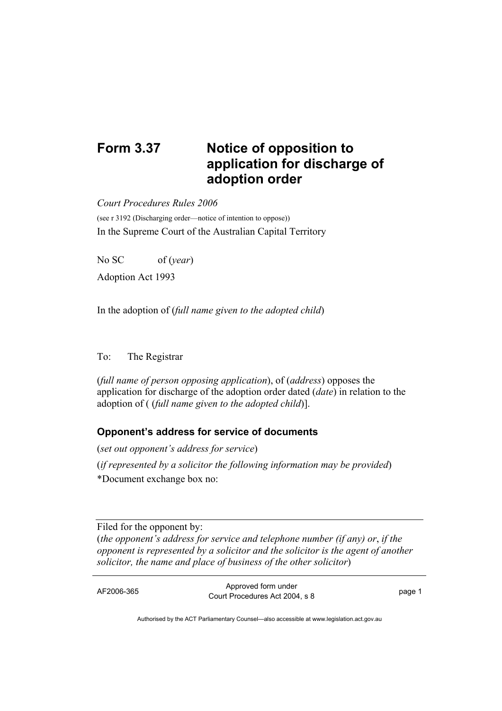## **Form 3.37 Notice of opposition to application for discharge of adoption order**

*Court Procedures Rules 2006* 

(see r 3192 (Discharging order—notice of intention to oppose)) In the Supreme Court of the Australian Capital Territory

No SC of (*year*) Adoption Act 1993

In the adoption of (*full name given to the adopted child*)

## To: The Registrar

(*full name of person opposing application*), of (*address*) opposes the application for discharge of the adoption order dated (*date*) in relation to the adoption of ( (*full name given to the adopted child*)].

## **Opponent's address for service of documents**

(*set out opponent's address for service*) (*if represented by a solicitor the following information may be provided*) \*Document exchange box no:

Filed for the opponent by: (*the opponent's address for service and telephone number (if any) or*, *if the opponent is represented by a solicitor and the solicitor is the agent of another solicitor, the name and place of business of the other solicitor*)

AF2006-365 Approved form under Procedures Act 2004, s 8 page 1

Authorised by the ACT Parliamentary Counsel—also accessible at www.legislation.act.gov.au